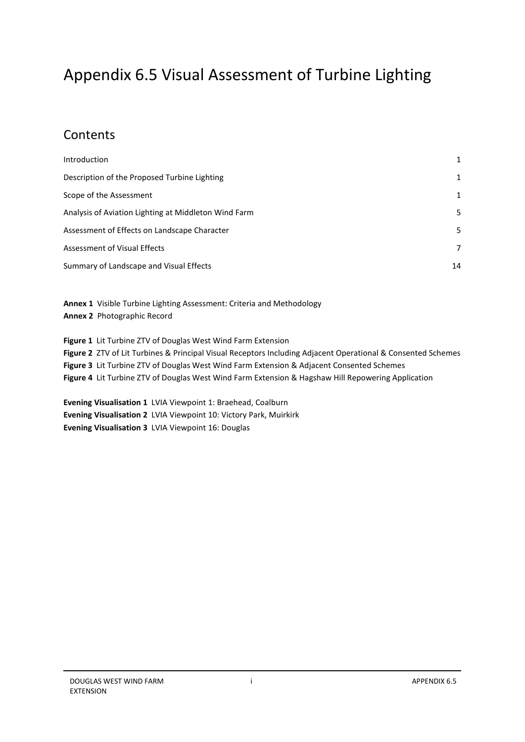# Appendix 6.5 Visual Assessment of Turbine Lighting

## **Contents**

| $\mathbf{1}$ |
|--------------|
| 1            |
| 1            |
| 5            |
| 5            |
| 7            |
| 14           |
|              |

**Annex 1** Visible Turbine Lighting Assessment: Criteria and Methodology **Annex 2** Photographic Record

**Figure 1** Lit Turbine ZTV of Douglas West Wind Farm Extension **Figure 2** ZTV of Lit Turbines & Principal Visual Receptors Including Adjacent Operational & Consented Schemes **Figure 3** Lit Turbine ZTV of Douglas West Wind Farm Extension & Adjacent Consented Schemes **Figure 4** Lit Turbine ZTV of Douglas West Wind Farm Extension & Hagshaw Hill Repowering Application

**Evening Visualisation 1** LVIA Viewpoint 1: Braehead, Coalburn **Evening Visualisation 2** LVIA Viewpoint 10: Victory Park, Muirkirk **Evening Visualisation 3** LVIA Viewpoint 16: Douglas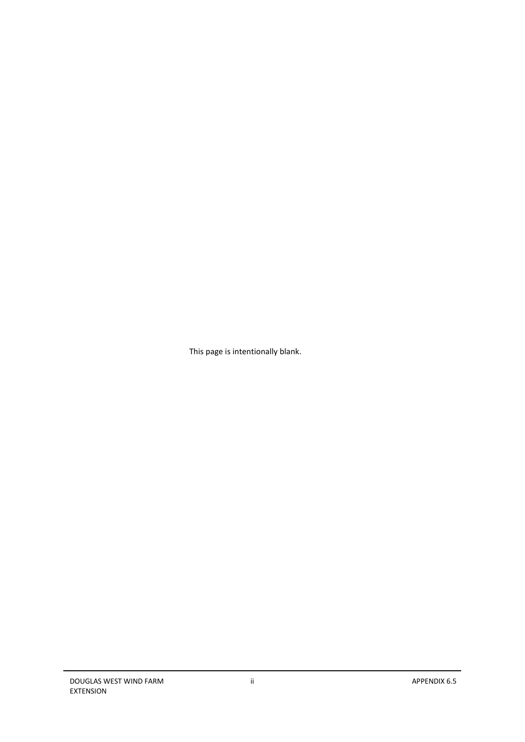This page is intentionally blank.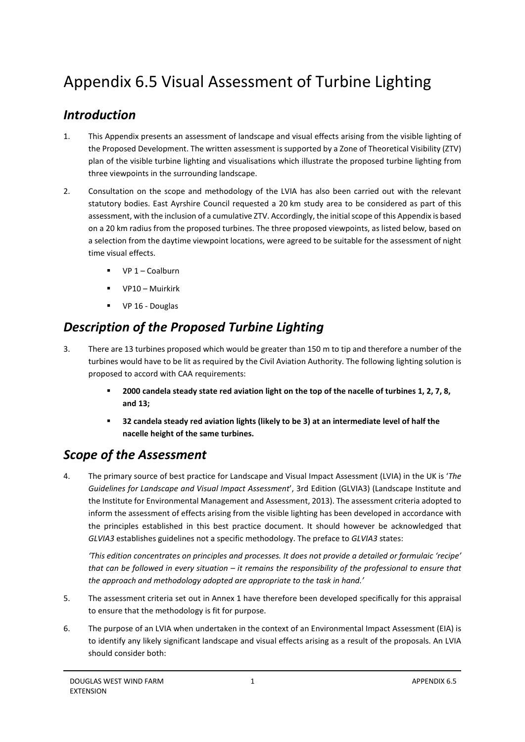# Appendix 6.5 Visual Assessment of Turbine Lighting

### <span id="page-2-0"></span>*Introduction*

- 1. This Appendix presents an assessment of landscape and visual effects arising from the visible lighting of the Proposed Development. The written assessment is supported by a Zone of Theoretical Visibility (ZTV) plan of the visible turbine lighting and visualisations which illustrate the proposed turbine lighting from three viewpoints in the surrounding landscape.
- 2. Consultation on the scope and methodology of the LVIA has also been carried out with the relevant statutory bodies. East Ayrshire Council requested a 20 km study area to be considered as part of this assessment, with the inclusion of a cumulative ZTV. Accordingly, the initial scope of this Appendix is based on a 20 km radius from the proposed turbines. The three proposed viewpoints, as listed below, based on a selection from the daytime viewpoint locations, were agreed to be suitable for the assessment of night time visual effects.
	- VP 1 Coalburn
	- VP10 Muirkirk
	- **VP 16 Douglas**

## <span id="page-2-1"></span>*Description of the Proposed Turbine Lighting*

- 3. There are 13 turbines proposed which would be greater than 150 m to tip and therefore a number of the turbines would have to be lit as required by the Civil Aviation Authority. The following lighting solution is proposed to accord with CAA requirements:
	- **2000 candela steady state red aviation light on the top of the nacelle of turbines 1, 2, 7, 8, and 13;**
	- **32 candela steady red aviation lights (likely to be 3) at an intermediate level of half the nacelle height of the same turbines.**

## <span id="page-2-2"></span>*Scope of the Assessment*

4. The primary source of best practice for Landscape and Visual Impact Assessment (LVIA) in the UK is '*The Guidelines for Landscape and Visual Impact Assessment*', 3rd Edition (GLVIA3) (Landscape Institute and the Institute for Environmental Management and Assessment, 2013). The assessment criteria adopted to inform the assessment of effects arising from the visible lighting has been developed in accordance with the principles established in this best practice document. It should however be acknowledged that *GLVIA3* establishes guidelines not a specific methodology. The preface to *GLVIA3* states:

*'This edition concentrates on principles and processes. It does not provide a detailed or formulaic 'recipe' that can be followed in every situation – it remains the responsibility of the professional to ensure that the approach and methodology adopted are appropriate to the task in hand.'* 

- 5. The assessment criteria set out in Annex 1 have therefore been developed specifically for this appraisal to ensure that the methodology is fit for purpose.
- 6. The purpose of an LVIA when undertaken in the context of an Environmental Impact Assessment (EIA) is to identify any likely significant landscape and visual effects arising as a result of the proposals. An LVIA should consider both: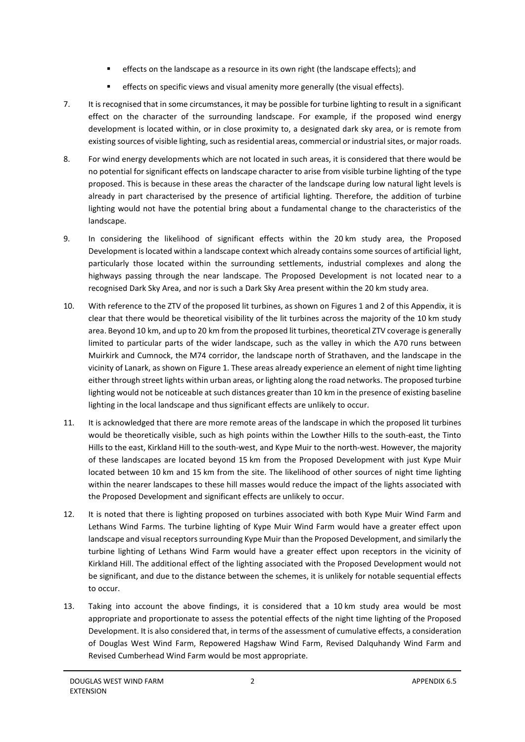- effects on the landscape as a resource in its own right (the landscape effects); and
- **EXECTE:** effects on specific views and visual amenity more generally (the visual effects).
- 7. It is recognised that in some circumstances, it may be possible for turbine lighting to result in a significant effect on the character of the surrounding landscape. For example, if the proposed wind energy development is located within, or in close proximity to, a designated dark sky area, or is remote from existing sources of visible lighting, such as residential areas, commercial or industrial sites, or major roads.
- 8. For wind energy developments which are not located in such areas, it is considered that there would be no potential for significant effects on landscape character to arise from visible turbine lighting of the type proposed. This is because in these areas the character of the landscape during low natural light levels is already in part characterised by the presence of artificial lighting. Therefore, the addition of turbine lighting would not have the potential bring about a fundamental change to the characteristics of the landscape.
- 9. In considering the likelihood of significant effects within the 20 km study area, the Proposed Development is located within a landscape context which already contains some sources of artificial light, particularly those located within the surrounding settlements, industrial complexes and along the highways passing through the near landscape. The Proposed Development is not located near to a recognised Dark Sky Area, and nor is such a Dark Sky Area present within the 20 km study area.
- 10. With reference to the ZTV of the proposed lit turbines, as shown on Figures 1 and 2 of this Appendix, it is clear that there would be theoretical visibility of the lit turbines across the majority of the 10 km study area. Beyond 10 km, and up to 20 km from the proposed lit turbines, theoretical ZTV coverage is generally limited to particular parts of the wider landscape, such as the valley in which the A70 runs between Muirkirk and Cumnock, the M74 corridor, the landscape north of Strathaven, and the landscape in the vicinity of Lanark, as shown on Figure 1. These areas already experience an element of night time lighting either through street lights within urban areas, or lighting along the road networks. The proposed turbine lighting would not be noticeable at such distances greater than 10 km in the presence of existing baseline lighting in the local landscape and thus significant effects are unlikely to occur.
- 11. It is acknowledged that there are more remote areas of the landscape in which the proposed lit turbines would be theoretically visible, such as high points within the Lowther Hills to the south-east, the Tinto Hills to the east, Kirkland Hill to the south-west, and Kype Muir to the north-west. However, the majority of these landscapes are located beyond 15 km from the Proposed Development with just Kype Muir located between 10 km and 15 km from the site. The likelihood of other sources of night time lighting within the nearer landscapes to these hill masses would reduce the impact of the lights associated with the Proposed Development and significant effects are unlikely to occur.
- 12. It is noted that there is lighting proposed on turbines associated with both Kype Muir Wind Farm and Lethans Wind Farms. The turbine lighting of Kype Muir Wind Farm would have a greater effect upon landscape and visual receptors surrounding Kype Muir than the Proposed Development, and similarly the turbine lighting of Lethans Wind Farm would have a greater effect upon receptors in the vicinity of Kirkland Hill. The additional effect of the lighting associated with the Proposed Development would not be significant, and due to the distance between the schemes, it is unlikely for notable sequential effects to occur.
- 13. Taking into account the above findings, it is considered that a 10 km study area would be most appropriate and proportionate to assess the potential effects of the night time lighting of the Proposed Development. It is also considered that, in terms of the assessment of cumulative effects, a consideration of Douglas West Wind Farm, Repowered Hagshaw Wind Farm, Revised Dalquhandy Wind Farm and Revised Cumberhead Wind Farm would be most appropriate.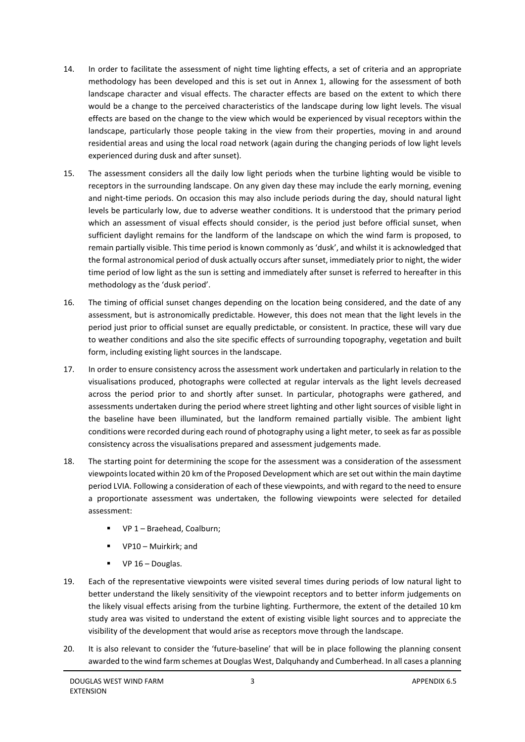- 14. In order to facilitate the assessment of night time lighting effects, a set of criteria and an appropriate methodology has been developed and this is set out in Annex 1, allowing for the assessment of both landscape character and visual effects. The character effects are based on the extent to which there would be a change to the perceived characteristics of the landscape during low light levels. The visual effects are based on the change to the view which would be experienced by visual receptors within the landscape, particularly those people taking in the view from their properties, moving in and around residential areas and using the local road network (again during the changing periods of low light levels experienced during dusk and after sunset).
- 15. The assessment considers all the daily low light periods when the turbine lighting would be visible to receptors in the surrounding landscape. On any given day these may include the early morning, evening and night-time periods. On occasion this may also include periods during the day, should natural light levels be particularly low, due to adverse weather conditions. It is understood that the primary period which an assessment of visual effects should consider, is the period just before official sunset, when sufficient daylight remains for the landform of the landscape on which the wind farm is proposed, to remain partially visible. This time period is known commonly as 'dusk', and whilst it is acknowledged that the formal astronomical period of dusk actually occurs after sunset, immediately prior to night, the wider time period of low light as the sun is setting and immediately after sunset is referred to hereafter in this methodology as the 'dusk period'.
- 16. The timing of official sunset changes depending on the location being considered, and the date of any assessment, but is astronomically predictable. However, this does not mean that the light levels in the period just prior to official sunset are equally predictable, or consistent. In practice, these will vary due to weather conditions and also the site specific effects of surrounding topography, vegetation and built form, including existing light sources in the landscape.
- 17. In order to ensure consistency across the assessment work undertaken and particularly in relation to the visualisations produced, photographs were collected at regular intervals as the light levels decreased across the period prior to and shortly after sunset. In particular, photographs were gathered, and assessments undertaken during the period where street lighting and other light sources of visible light in the baseline have been illuminated, but the landform remained partially visible. The ambient light conditions were recorded during each round of photography using a light meter, to seek as far as possible consistency across the visualisations prepared and assessment judgements made.
- 18. The starting point for determining the scope for the assessment was a consideration of the assessment viewpoints located within 20 km of the Proposed Development which are set out within the main daytime period LVIA. Following a consideration of each of these viewpoints, and with regard to the need to ensure a proportionate assessment was undertaken, the following viewpoints were selected for detailed assessment:
	- VP 1 Braehead, Coalburn;
	- **•** VP10 Muirkirk; and
	- $\blacksquare$  VP 16 Douglas.
- 19. Each of the representative viewpoints were visited several times during periods of low natural light to better understand the likely sensitivity of the viewpoint receptors and to better inform judgements on the likely visual effects arising from the turbine lighting. Furthermore, the extent of the detailed 10 km study area was visited to understand the extent of existing visible light sources and to appreciate the visibility of the development that would arise as receptors move through the landscape.
- 20. It is also relevant to consider the 'future-baseline' that will be in place following the planning consent awarded to the wind farm schemes at Douglas West, Dalquhandy and Cumberhead. In all cases a planning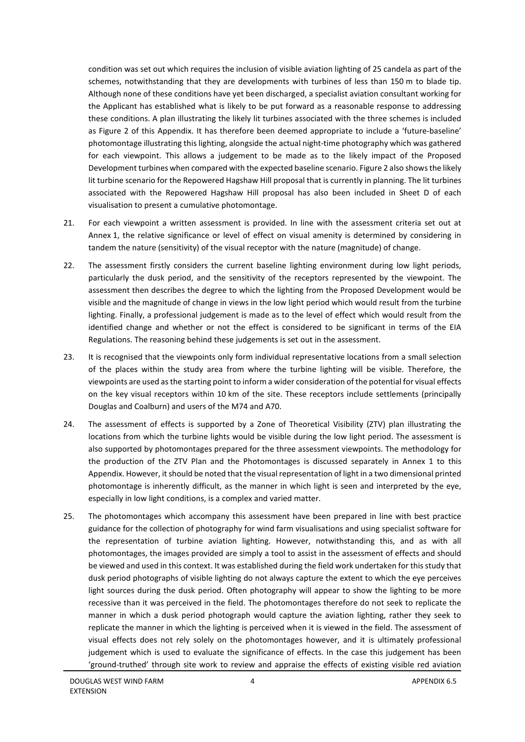condition was set out which requires the inclusion of visible aviation lighting of 25 candela as part of the schemes, notwithstanding that they are developments with turbines of less than 150 m to blade tip. Although none of these conditions have yet been discharged, a specialist aviation consultant working for the Applicant has established what is likely to be put forward as a reasonable response to addressing these conditions. A plan illustrating the likely lit turbines associated with the three schemes is included as Figure 2 of this Appendix. It has therefore been deemed appropriate to include a 'future-baseline' photomontage illustrating this lighting, alongside the actual night-time photography which was gathered for each viewpoint. This allows a judgement to be made as to the likely impact of the Proposed Development turbines when compared with the expected baseline scenario. Figure 2 also shows the likely lit turbine scenario for the Repowered Hagshaw Hill proposal that is currently in planning. The lit turbines associated with the Repowered Hagshaw Hill proposal has also been included in Sheet D of each visualisation to present a cumulative photomontage.

- 21. For each viewpoint a written assessment is provided. In line with the assessment criteria set out at Annex 1, the relative significance or level of effect on visual amenity is determined by considering in tandem the nature (sensitivity) of the visual receptor with the nature (magnitude) of change.
- 22. The assessment firstly considers the current baseline lighting environment during low light periods, particularly the dusk period, and the sensitivity of the receptors represented by the viewpoint. The assessment then describes the degree to which the lighting from the Proposed Development would be visible and the magnitude of change in views in the low light period which would result from the turbine lighting. Finally, a professional judgement is made as to the level of effect which would result from the identified change and whether or not the effect is considered to be significant in terms of the EIA Regulations. The reasoning behind these judgements is set out in the assessment.
- 23. It is recognised that the viewpoints only form individual representative locations from a small selection of the places within the study area from where the turbine lighting will be visible. Therefore, the viewpoints are used as the starting point to inform a wider consideration of the potential for visual effects on the key visual receptors within 10 km of the site. These receptors include settlements (principally Douglas and Coalburn) and users of the M74 and A70.
- 24. The assessment of effects is supported by a Zone of Theoretical Visibility (ZTV) plan illustrating the locations from which the turbine lights would be visible during the low light period. The assessment is also supported by photomontages prepared for the three assessment viewpoints. The methodology for the production of the ZTV Plan and the Photomontages is discussed separately in Annex 1 to this Appendix. However, it should be noted that the visual representation of light in a two dimensional printed photomontage is inherently difficult, as the manner in which light is seen and interpreted by the eye, especially in low light conditions, is a complex and varied matter.
- 25. The photomontages which accompany this assessment have been prepared in line with best practice guidance for the collection of photography for wind farm visualisations and using specialist software for the representation of turbine aviation lighting. However, notwithstanding this, and as with all photomontages, the images provided are simply a tool to assist in the assessment of effects and should be viewed and used in this context. It was established during the field work undertaken for this study that dusk period photographs of visible lighting do not always capture the extent to which the eye perceives light sources during the dusk period. Often photography will appear to show the lighting to be more recessive than it was perceived in the field. The photomontages therefore do not seek to replicate the manner in which a dusk period photograph would capture the aviation lighting, rather they seek to replicate the manner in which the lighting is perceived when it is viewed in the field. The assessment of visual effects does not rely solely on the photomontages however, and it is ultimately professional judgement which is used to evaluate the significance of effects. In the case this judgement has been 'ground-truthed' through site work to review and appraise the effects of existing visible red aviation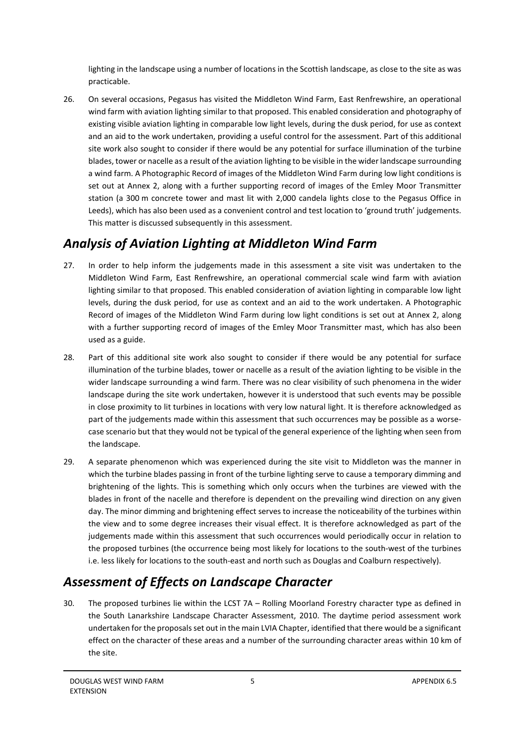lighting in the landscape using a number of locations in the Scottish landscape, as close to the site as was practicable.

26. On several occasions, Pegasus has visited the Middleton Wind Farm, East Renfrewshire, an operational wind farm with aviation lighting similar to that proposed. This enabled consideration and photography of existing visible aviation lighting in comparable low light levels, during the dusk period, for use as context and an aid to the work undertaken, providing a useful control for the assessment. Part of this additional site work also sought to consider if there would be any potential for surface illumination of the turbine blades, tower or nacelle as a result of the aviation lighting to be visible in the wider landscape surrounding a wind farm. A Photographic Record of images of the Middleton Wind Farm during low light conditions is set out at Annex 2, along with a further supporting record of images of the Emley Moor Transmitter station (a 300 m concrete tower and mast lit with 2,000 candela lights close to the Pegasus Office in Leeds), which has also been used as a convenient control and test location to 'ground truth' judgements. This matter is discussed subsequently in this assessment.

## <span id="page-6-0"></span>*Analysis of Aviation Lighting at Middleton Wind Farm*

- 27. In order to help inform the judgements made in this assessment a site visit was undertaken to the Middleton Wind Farm, East Renfrewshire, an operational commercial scale wind farm with aviation lighting similar to that proposed. This enabled consideration of aviation lighting in comparable low light levels, during the dusk period, for use as context and an aid to the work undertaken. A Photographic Record of images of the Middleton Wind Farm during low light conditions is set out at Annex 2, along with a further supporting record of images of the Emley Moor Transmitter mast, which has also been used as a guide.
- 28. Part of this additional site work also sought to consider if there would be any potential for surface illumination of the turbine blades, tower or nacelle as a result of the aviation lighting to be visible in the wider landscape surrounding a wind farm. There was no clear visibility of such phenomena in the wider landscape during the site work undertaken, however it is understood that such events may be possible in close proximity to lit turbines in locations with very low natural light. It is therefore acknowledged as part of the judgements made within this assessment that such occurrences may be possible as a worsecase scenario but that they would not be typical of the general experience of the lighting when seen from the landscape.
- 29. A separate phenomenon which was experienced during the site visit to Middleton was the manner in which the turbine blades passing in front of the turbine lighting serve to cause a temporary dimming and brightening of the lights. This is something which only occurs when the turbines are viewed with the blades in front of the nacelle and therefore is dependent on the prevailing wind direction on any given day. The minor dimming and brightening effect serves to increase the noticeability of the turbines within the view and to some degree increases their visual effect. It is therefore acknowledged as part of the judgements made within this assessment that such occurrences would periodically occur in relation to the proposed turbines (the occurrence being most likely for locations to the south-west of the turbines i.e. less likely for locations to the south-east and north such as Douglas and Coalburn respectively).

# <span id="page-6-1"></span>*Assessment of Effects on Landscape Character*

30. The proposed turbines lie within the LCST 7A – Rolling Moorland Forestry character type as defined in the South Lanarkshire Landscape Character Assessment, 2010. The daytime period assessment work undertaken for the proposals set out in the main LVIA Chapter, identified that there would be a significant effect on the character of these areas and a number of the surrounding character areas within 10 km of the site.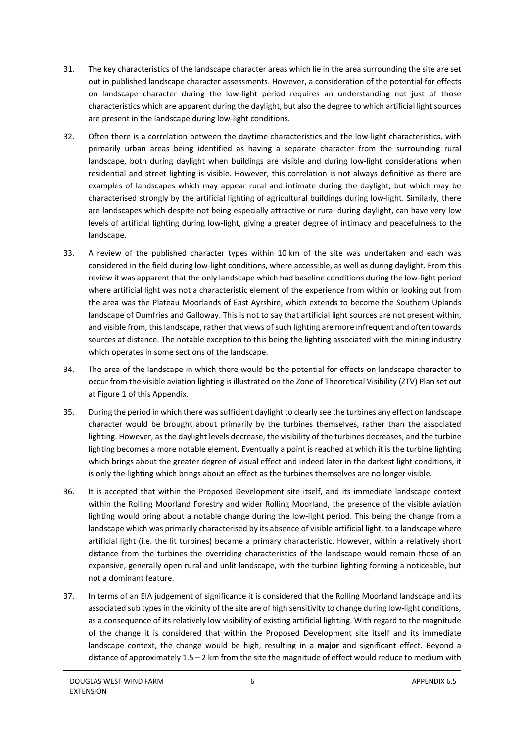- 31. The key characteristics of the landscape character areas which lie in the area surrounding the site are set out in published landscape character assessments. However, a consideration of the potential for effects on landscape character during the low-light period requires an understanding not just of those characteristics which are apparent during the daylight, but also the degree to which artificial light sources are present in the landscape during low-light conditions.
- 32. Often there is a correlation between the daytime characteristics and the low-light characteristics, with primarily urban areas being identified as having a separate character from the surrounding rural landscape, both during daylight when buildings are visible and during low-light considerations when residential and street lighting is visible. However, this correlation is not always definitive as there are examples of landscapes which may appear rural and intimate during the daylight, but which may be characterised strongly by the artificial lighting of agricultural buildings during low-light. Similarly, there are landscapes which despite not being especially attractive or rural during daylight, can have very low levels of artificial lighting during low-light, giving a greater degree of intimacy and peacefulness to the landscape.
- 33. A review of the published character types within 10 km of the site was undertaken and each was considered in the field during low-light conditions, where accessible, as well as during daylight. From this review it was apparent that the only landscape which had baseline conditions during the low-light period where artificial light was not a characteristic element of the experience from within or looking out from the area was the Plateau Moorlands of East Ayrshire, which extends to become the Southern Uplands landscape of Dumfries and Galloway. This is not to say that artificial light sources are not present within, and visible from, this landscape, rather that views of such lighting are more infrequent and often towards sources at distance. The notable exception to this being the lighting associated with the mining industry which operates in some sections of the landscape.
- 34. The area of the landscape in which there would be the potential for effects on landscape character to occur from the visible aviation lighting is illustrated on the Zone of Theoretical Visibility (ZTV) Plan set out at Figure 1 of this Appendix.
- 35. During the period in which there was sufficient daylight to clearly see the turbines any effect on landscape character would be brought about primarily by the turbines themselves, rather than the associated lighting. However, as the daylight levels decrease, the visibility of the turbines decreases, and the turbine lighting becomes a more notable element. Eventually a point is reached at which it is the turbine lighting which brings about the greater degree of visual effect and indeed later in the darkest light conditions, it is only the lighting which brings about an effect as the turbines themselves are no longer visible.
- 36. It is accepted that within the Proposed Development site itself, and its immediate landscape context within the Rolling Moorland Forestry and wider Rolling Moorland, the presence of the visible aviation lighting would bring about a notable change during the low-light period. This being the change from a landscape which was primarily characterised by its absence of visible artificial light, to a landscape where artificial light (i.e. the lit turbines) became a primary characteristic. However, within a relatively short distance from the turbines the overriding characteristics of the landscape would remain those of an expansive, generally open rural and unlit landscape, with the turbine lighting forming a noticeable, but not a dominant feature.
- 37. In terms of an EIA judgement of significance it is considered that the Rolling Moorland landscape and its associated sub types in the vicinity of the site are of high sensitivity to change during low-light conditions, as a consequence of its relatively low visibility of existing artificial lighting. With regard to the magnitude of the change it is considered that within the Proposed Development site itself and its immediate landscape context, the change would be high, resulting in a **major** and significant effect. Beyond a distance of approximately  $1.5 - 2$  km from the site the magnitude of effect would reduce to medium with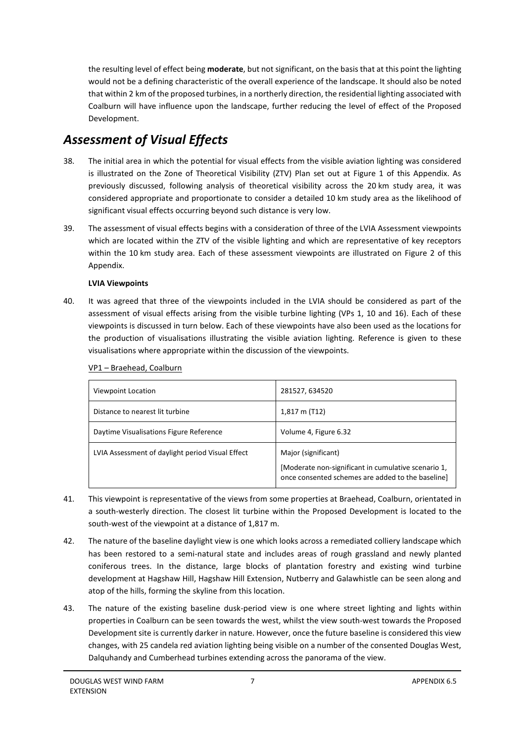the resulting level of effect being **moderate**, but not significant, on the basis that at this point the lighting would not be a defining characteristic of the overall experience of the landscape. It should also be noted that within 2 km of the proposed turbines, in a northerly direction, the residential lighting associated with Coalburn will have influence upon the landscape, further reducing the level of effect of the Proposed Development.

# <span id="page-8-0"></span>*Assessment of Visual Effects*

- 38. The initial area in which the potential for visual effects from the visible aviation lighting was considered is illustrated on the Zone of Theoretical Visibility (ZTV) Plan set out at Figure 1 of this Appendix. As previously discussed, following analysis of theoretical visibility across the 20 km study area, it was considered appropriate and proportionate to consider a detailed 10 km study area as the likelihood of significant visual effects occurring beyond such distance is very low.
- 39. The assessment of visual effects begins with a consideration of three of the LVIA Assessment viewpoints which are located within the ZTV of the visible lighting and which are representative of key receptors within the 10 km study area. Each of these assessment viewpoints are illustrated on Figure 2 of this Appendix.

#### **LVIA Viewpoints**

40. It was agreed that three of the viewpoints included in the LVIA should be considered as part of the assessment of visual effects arising from the visible turbine lighting (VPs 1, 10 and 16). Each of these viewpoints is discussed in turn below. Each of these viewpoints have also been used as the locations for the production of visualisations illustrating the visible aviation lighting. Reference is given to these visualisations where appropriate within the discussion of the viewpoints.

| Viewpoint Location                               | 281527, 634520                                                                                                                 |
|--------------------------------------------------|--------------------------------------------------------------------------------------------------------------------------------|
| Distance to nearest lit turbine                  | 1,817 m (T12)                                                                                                                  |
| Daytime Visualisations Figure Reference          | Volume 4, Figure 6.32                                                                                                          |
| LVIA Assessment of daylight period Visual Effect | Major (significant)<br>Moderate non-significant in cumulative scenario 1,<br>once consented schemes are added to the baseline] |

VP1 – Braehead, Coalburn

- 41. This viewpoint is representative of the views from some properties at Braehead, Coalburn, orientated in a south-westerly direction. The closest lit turbine within the Proposed Development is located to the south-west of the viewpoint at a distance of 1,817 m.
- 42. The nature of the baseline daylight view is one which looks across a remediated colliery landscape which has been restored to a semi-natural state and includes areas of rough grassland and newly planted coniferous trees. In the distance, large blocks of plantation forestry and existing wind turbine development at Hagshaw Hill, Hagshaw Hill Extension, Nutberry and Galawhistle can be seen along and atop of the hills, forming the skyline from this location.
- 43. The nature of the existing baseline dusk-period view is one where street lighting and lights within properties in Coalburn can be seen towards the west, whilst the view south-west towards the Proposed Development site is currently darker in nature. However, once the future baseline is considered this view changes, with 25 candela red aviation lighting being visible on a number of the consented Douglas West, Dalquhandy and Cumberhead turbines extending across the panorama of the view.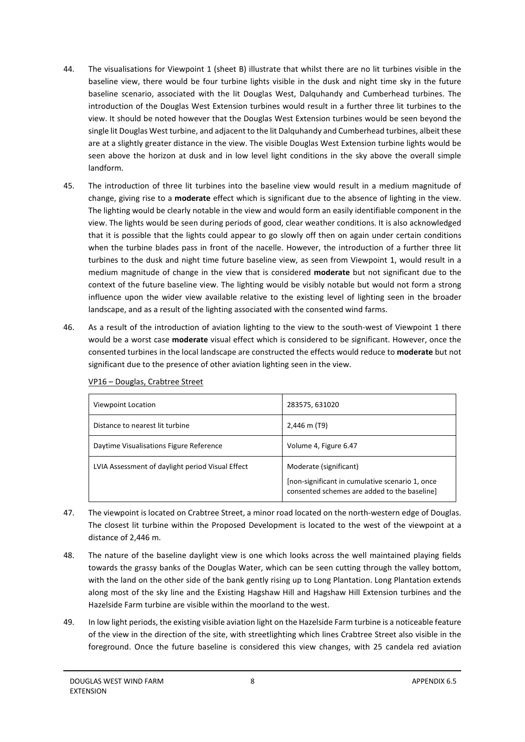- 44. The visualisations for Viewpoint 1 (sheet B) illustrate that whilst there are no lit turbines visible in the baseline view, there would be four turbine lights visible in the dusk and night time sky in the future baseline scenario, associated with the lit Douglas West, Dalquhandy and Cumberhead turbines. The introduction of the Douglas West Extension turbines would result in a further three lit turbines to the view. It should be noted however that the Douglas West Extension turbines would be seen beyond the single lit Douglas West turbine, and adjacent to the lit Dalquhandy and Cumberhead turbines, albeit these are at a slightly greater distance in the view. The visible Douglas West Extension turbine lights would be seen above the horizon at dusk and in low level light conditions in the sky above the overall simple landform.
- 45. The introduction of three lit turbines into the baseline view would result in a medium magnitude of change, giving rise to a **moderate** effect which is significant due to the absence of lighting in the view. The lighting would be clearly notable in the view and would form an easily identifiable component in the view. The lights would be seen during periods of good, clear weather conditions. It is also acknowledged that it is possible that the lights could appear to go slowly off then on again under certain conditions when the turbine blades pass in front of the nacelle. However, the introduction of a further three lit turbines to the dusk and night time future baseline view, as seen from Viewpoint 1, would result in a medium magnitude of change in the view that is considered **moderate** but not significant due to the context of the future baseline view. The lighting would be visibly notable but would not form a strong influence upon the wider view available relative to the existing level of lighting seen in the broader landscape, and as a result of the lighting associated with the consented wind farms.
- 46. As a result of the introduction of aviation lighting to the view to the south-west of Viewpoint 1 there would be a worst case **moderate** visual effect which is considered to be significant. However, once the consented turbines in the local landscape are constructed the effects would reduce to **moderate** but not significant due to the presence of other aviation lighting seen in the view.

| Viewpoint Location                               | 283575, 631020                                                                                  |
|--------------------------------------------------|-------------------------------------------------------------------------------------------------|
| Distance to nearest lit turbine                  | 2,446 m (T9)                                                                                    |
| Daytime Visualisations Figure Reference          | Volume 4, Figure 6.47                                                                           |
| LVIA Assessment of daylight period Visual Effect | Moderate (significant)                                                                          |
|                                                  | [non-significant in cumulative scenario 1, once<br>consented schemes are added to the baseline] |

#### VP16 – Douglas, Crabtree Street

- 47. The viewpoint is located on Crabtree Street, a minor road located on the north-western edge of Douglas. The closest lit turbine within the Proposed Development is located to the west of the viewpoint at a distance of 2,446 m.
- 48. The nature of the baseline daylight view is one which looks across the well maintained playing fields towards the grassy banks of the Douglas Water, which can be seen cutting through the valley bottom, with the land on the other side of the bank gently rising up to Long Plantation. Long Plantation extends along most of the sky line and the Existing Hagshaw Hill and Hagshaw Hill Extension turbines and the Hazelside Farm turbine are visible within the moorland to the west.
- 49. In low light periods, the existing visible aviation light on the Hazelside Farm turbine is a noticeable feature of the view in the direction of the site, with streetlighting which lines Crabtree Street also visible in the foreground. Once the future baseline is considered this view changes, with 25 candela red aviation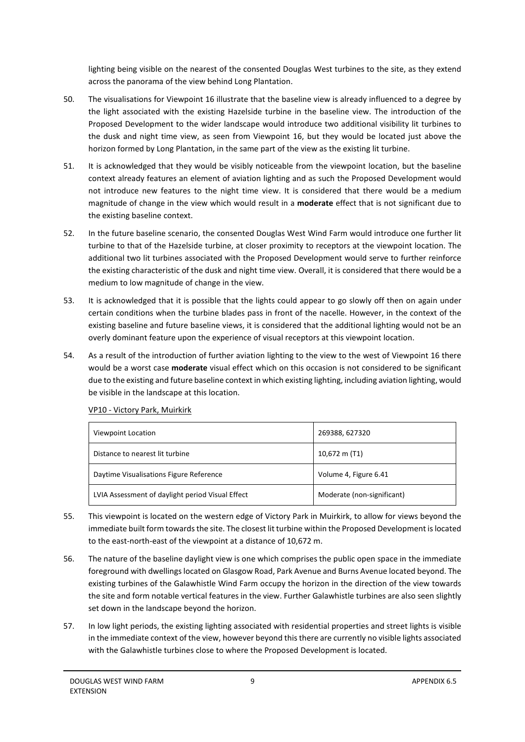lighting being visible on the nearest of the consented Douglas West turbines to the site, as they extend across the panorama of the view behind Long Plantation.

- 50. The visualisations for Viewpoint 16 illustrate that the baseline view is already influenced to a degree by the light associated with the existing Hazelside turbine in the baseline view. The introduction of the Proposed Development to the wider landscape would introduce two additional visibility lit turbines to the dusk and night time view, as seen from Viewpoint 16, but they would be located just above the horizon formed by Long Plantation, in the same part of the view as the existing lit turbine.
- 51. It is acknowledged that they would be visibly noticeable from the viewpoint location, but the baseline context already features an element of aviation lighting and as such the Proposed Development would not introduce new features to the night time view. It is considered that there would be a medium magnitude of change in the view which would result in a **moderate** effect that is not significant due to the existing baseline context.
- 52. In the future baseline scenario, the consented Douglas West Wind Farm would introduce one further lit turbine to that of the Hazelside turbine, at closer proximity to receptors at the viewpoint location. The additional two lit turbines associated with the Proposed Development would serve to further reinforce the existing characteristic of the dusk and night time view. Overall, it is considered that there would be a medium to low magnitude of change in the view.
- 53. It is acknowledged that it is possible that the lights could appear to go slowly off then on again under certain conditions when the turbine blades pass in front of the nacelle. However, in the context of the existing baseline and future baseline views, it is considered that the additional lighting would not be an overly dominant feature upon the experience of visual receptors at this viewpoint location.
- 54. As a result of the introduction of further aviation lighting to the view to the west of Viewpoint 16 there would be a worst case **moderate** visual effect which on this occasion is not considered to be significant due to the existing and future baseline context in which existing lighting, including aviation lighting, would be visible in the landscape at this location.

| Viewpoint Location                               | 269388, 627320             |
|--------------------------------------------------|----------------------------|
| Distance to nearest lit turbine                  | $10,672$ m (T1)            |
| Daytime Visualisations Figure Reference          | Volume 4, Figure 6.41      |
| LVIA Assessment of daylight period Visual Effect | Moderate (non-significant) |

#### VP10 - Victory Park, Muirkirk

- 55. This viewpoint is located on the western edge of Victory Park in Muirkirk, to allow for views beyond the immediate built form towards the site. The closest lit turbine within the Proposed Development is located to the east-north-east of the viewpoint at a distance of 10,672 m.
- 56. The nature of the baseline daylight view is one which comprises the public open space in the immediate foreground with dwellings located on Glasgow Road, Park Avenue and Burns Avenue located beyond. The existing turbines of the Galawhistle Wind Farm occupy the horizon in the direction of the view towards the site and form notable vertical features in the view. Further Galawhistle turbines are also seen slightly set down in the landscape beyond the horizon.
- 57. In low light periods, the existing lighting associated with residential properties and street lights is visible in the immediate context of the view, however beyond this there are currently no visible lights associated with the Galawhistle turbines close to where the Proposed Development is located.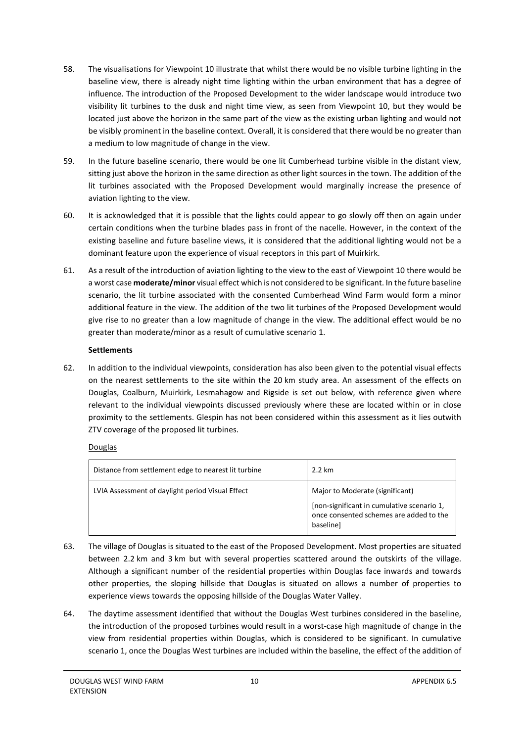- 58. The visualisations for Viewpoint 10 illustrate that whilst there would be no visible turbine lighting in the baseline view, there is already night time lighting within the urban environment that has a degree of influence. The introduction of the Proposed Development to the wider landscape would introduce two visibility lit turbines to the dusk and night time view, as seen from Viewpoint 10, but they would be located just above the horizon in the same part of the view as the existing urban lighting and would not be visibly prominent in the baseline context. Overall, it is considered that there would be no greater than a medium to low magnitude of change in the view.
- 59. In the future baseline scenario, there would be one lit Cumberhead turbine visible in the distant view, sitting just above the horizon in the same direction as other light sources in the town. The addition of the lit turbines associated with the Proposed Development would marginally increase the presence of aviation lighting to the view.
- 60. It is acknowledged that it is possible that the lights could appear to go slowly off then on again under certain conditions when the turbine blades pass in front of the nacelle. However, in the context of the existing baseline and future baseline views, it is considered that the additional lighting would not be a dominant feature upon the experience of visual receptors in this part of Muirkirk.
- 61. As a result of the introduction of aviation lighting to the view to the east of Viewpoint 10 there would be a worst case **moderate/minor** visual effect which is not considered to be significant. In the future baseline scenario, the lit turbine associated with the consented Cumberhead Wind Farm would form a minor additional feature in the view. The addition of the two lit turbines of the Proposed Development would give rise to no greater than a low magnitude of change in the view. The additional effect would be no greater than moderate/minor as a result of cumulative scenario 1.

#### **Settlements**

62. In addition to the individual viewpoints, consideration has also been given to the potential visual effects on the nearest settlements to the site within the 20 km study area. An assessment of the effects on Douglas, Coalburn, Muirkirk, Lesmahagow and Rigside is set out below, with reference given where relevant to the individual viewpoints discussed previously where these are located within or in close proximity to the settlements. Glespin has not been considered within this assessment as it lies outwith ZTV coverage of the proposed lit turbines.

#### Douglas

| Distance from settlement edge to nearest lit turbine | $2.2 \text{ km}$                                                                                                                      |
|------------------------------------------------------|---------------------------------------------------------------------------------------------------------------------------------------|
| LVIA Assessment of daylight period Visual Effect     | Major to Moderate (significant)<br>[non-significant in cumulative scenario 1,<br>once consented schemes are added to the<br>baselinel |

- 63. The village of Douglas is situated to the east of the Proposed Development. Most properties are situated between 2.2 km and 3 km but with several properties scattered around the outskirts of the village. Although a significant number of the residential properties within Douglas face inwards and towards other properties, the sloping hillside that Douglas is situated on allows a number of properties to experience views towards the opposing hillside of the Douglas Water Valley.
- 64. The daytime assessment identified that without the Douglas West turbines considered in the baseline, the introduction of the proposed turbines would result in a worst-case high magnitude of change in the view from residential properties within Douglas, which is considered to be significant. In cumulative scenario 1, once the Douglas West turbines are included within the baseline, the effect of the addition of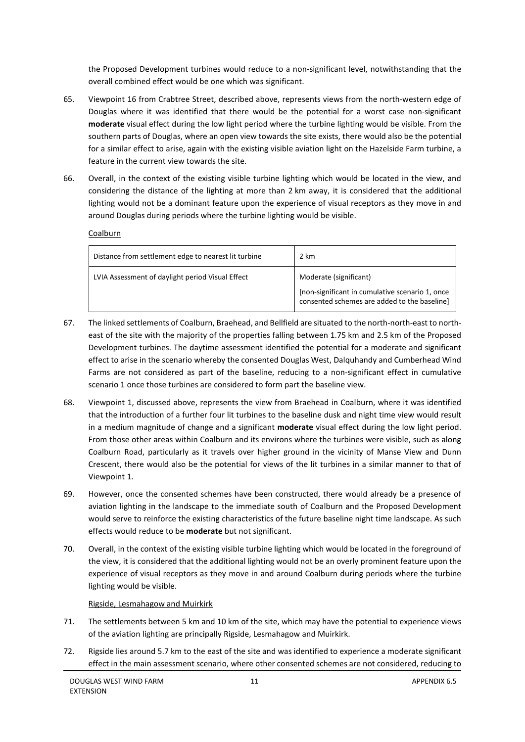the Proposed Development turbines would reduce to a non-significant level, notwithstanding that the overall combined effect would be one which was significant.

- 65. Viewpoint 16 from Crabtree Street, described above, represents views from the north-western edge of Douglas where it was identified that there would be the potential for a worst case non-significant **moderate** visual effect during the low light period where the turbine lighting would be visible. From the southern parts of Douglas, where an open view towards the site exists, there would also be the potential for a similar effect to arise, again with the existing visible aviation light on the Hazelside Farm turbine, a feature in the current view towards the site.
- 66. Overall, in the context of the existing visible turbine lighting which would be located in the view, and considering the distance of the lighting at more than 2 km away, it is considered that the additional lighting would not be a dominant feature upon the experience of visual receptors as they move in and around Douglas during periods where the turbine lighting would be visible.

**Coalburn** 

| Distance from settlement edge to nearest lit turbine | 2 km                                                                                                                      |
|------------------------------------------------------|---------------------------------------------------------------------------------------------------------------------------|
| LVIA Assessment of daylight period Visual Effect     | Moderate (significant)<br>[non-significant in cumulative scenario 1, once<br>consented schemes are added to the baseline] |

- 67. The linked settlements of Coalburn, Braehead, and Bellfield are situated to the north-north-east to northeast of the site with the majority of the properties falling between 1.75 km and 2.5 km of the Proposed Development turbines. The daytime assessment identified the potential for a moderate and significant effect to arise in the scenario whereby the consented Douglas West, Dalquhandy and Cumberhead Wind Farms are not considered as part of the baseline, reducing to a non-significant effect in cumulative scenario 1 once those turbines are considered to form part the baseline view.
- 68. Viewpoint 1, discussed above, represents the view from Braehead in Coalburn, where it was identified that the introduction of a further four lit turbines to the baseline dusk and night time view would result in a medium magnitude of change and a significant **moderate** visual effect during the low light period. From those other areas within Coalburn and its environs where the turbines were visible, such as along Coalburn Road, particularly as it travels over higher ground in the vicinity of Manse View and Dunn Crescent, there would also be the potential for views of the lit turbines in a similar manner to that of Viewpoint 1.
- 69. However, once the consented schemes have been constructed, there would already be a presence of aviation lighting in the landscape to the immediate south of Coalburn and the Proposed Development would serve to reinforce the existing characteristics of the future baseline night time landscape. As such effects would reduce to be **moderate** but not significant.
- 70. Overall, in the context of the existing visible turbine lighting which would be located in the foreground of the view, it is considered that the additional lighting would not be an overly prominent feature upon the experience of visual receptors as they move in and around Coalburn during periods where the turbine lighting would be visible.

#### Rigside, Lesmahagow and Muirkirk

- 71. The settlements between 5 km and 10 km of the site, which may have the potential to experience views of the aviation lighting are principally Rigside, Lesmahagow and Muirkirk.
- 72. Rigside lies around 5.7 km to the east of the site and was identified to experience a moderate significant effect in the main assessment scenario, where other consented schemes are not considered, reducing to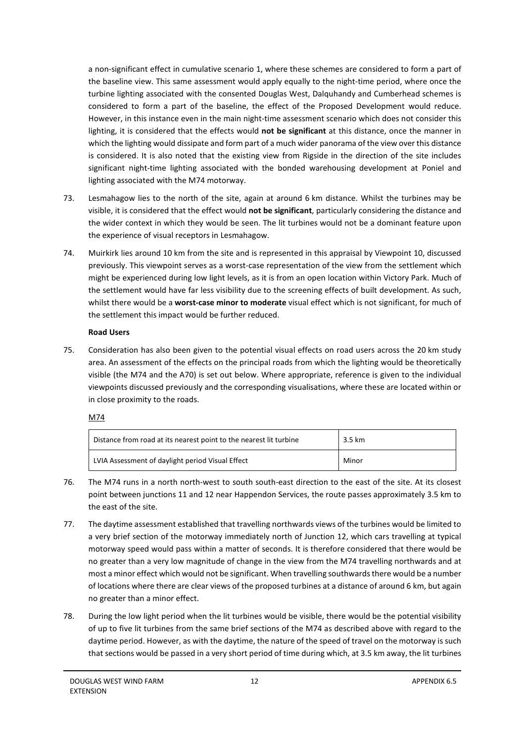a non-significant effect in cumulative scenario 1, where these schemes are considered to form a part of the baseline view. This same assessment would apply equally to the night-time period, where once the turbine lighting associated with the consented Douglas West, Dalquhandy and Cumberhead schemes is considered to form a part of the baseline, the effect of the Proposed Development would reduce. However, in this instance even in the main night-time assessment scenario which does not consider this lighting, it is considered that the effects would **not be significant** at this distance, once the manner in which the lighting would dissipate and form part of a much wider panorama of the view over this distance is considered. It is also noted that the existing view from Rigside in the direction of the site includes significant night-time lighting associated with the bonded warehousing development at Poniel and lighting associated with the M74 motorway.

- 73. Lesmahagow lies to the north of the site, again at around 6 km distance. Whilst the turbines may be visible, it is considered that the effect would **not be significant**, particularly considering the distance and the wider context in which they would be seen. The lit turbines would not be a dominant feature upon the experience of visual receptors in Lesmahagow.
- 74. Muirkirk lies around 10 km from the site and is represented in this appraisal by Viewpoint 10, discussed previously. This viewpoint serves as a worst-case representation of the view from the settlement which might be experienced during low light levels, as it is from an open location within Victory Park. Much of the settlement would have far less visibility due to the screening effects of built development. As such, whilst there would be a **worst-case minor to moderate** visual effect which is not significant, for much of the settlement this impact would be further reduced.

#### **Road Users**

75. Consideration has also been given to the potential visual effects on road users across the 20 km study area. An assessment of the effects on the principal roads from which the lighting would be theoretically visible (the M74 and the A70) is set out below. Where appropriate, reference is given to the individual viewpoints discussed previously and the corresponding visualisations, where these are located within or in close proximity to the roads.

#### M74

| Distance from road at its nearest point to the nearest lit turbine | 3.5 km |
|--------------------------------------------------------------------|--------|
| LVIA Assessment of daylight period Visual Effect                   | Minor  |

- 76. The M74 runs in a north north-west to south south-east direction to the east of the site. At its closest point between junctions 11 and 12 near Happendon Services, the route passes approximately 3.5 km to the east of the site.
- 77. The daytime assessment established that travelling northwards views of the turbines would be limited to a very brief section of the motorway immediately north of Junction 12, which cars travelling at typical motorway speed would pass within a matter of seconds. It is therefore considered that there would be no greater than a very low magnitude of change in the view from the M74 travelling northwards and at most a minor effect which would not be significant. When travelling southwards there would be a number of locations where there are clear views of the proposed turbines at a distance of around 6 km, but again no greater than a minor effect.
- 78. During the low light period when the lit turbines would be visible, there would be the potential visibility of up to five lit turbines from the same brief sections of the M74 as described above with regard to the daytime period. However, as with the daytime, the nature of the speed of travel on the motorway is such that sections would be passed in a very short period of time during which, at 3.5 km away, the lit turbines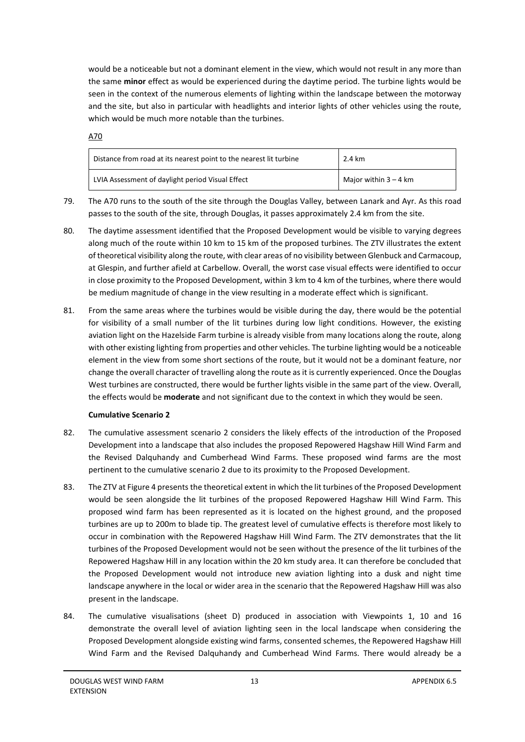would be a noticeable but not a dominant element in the view, which would not result in any more than the same **minor** effect as would be experienced during the daytime period. The turbine lights would be seen in the context of the numerous elements of lighting within the landscape between the motorway and the site, but also in particular with headlights and interior lights of other vehicles using the route, which would be much more notable than the turbines.

#### A70

| Distance from road at its nearest point to the nearest lit turbine | 2.4 km                  |
|--------------------------------------------------------------------|-------------------------|
| LVIA Assessment of daylight period Visual Effect                   | Major within $3 - 4$ km |

79. The A70 runs to the south of the site through the Douglas Valley, between Lanark and Ayr. As this road passes to the south of the site, through Douglas, it passes approximately 2.4 km from the site.

- 80. The daytime assessment identified that the Proposed Development would be visible to varying degrees along much of the route within 10 km to 15 km of the proposed turbines. The ZTV illustrates the extent of theoretical visibility along the route, with clear areas of no visibility between Glenbuck and Carmacoup, at Glespin, and further afield at Carbellow. Overall, the worst case visual effects were identified to occur in close proximity to the Proposed Development, within 3 km to 4 km of the turbines, where there would be medium magnitude of change in the view resulting in a moderate effect which is significant.
- 81. From the same areas where the turbines would be visible during the day, there would be the potential for visibility of a small number of the lit turbines during low light conditions. However, the existing aviation light on the Hazelside Farm turbine is already visible from many locations along the route, along with other existing lighting from properties and other vehicles. The turbine lighting would be a noticeable element in the view from some short sections of the route, but it would not be a dominant feature, nor change the overall character of travelling along the route as it is currently experienced. Once the Douglas West turbines are constructed, there would be further lights visible in the same part of the view. Overall, the effects would be **moderate** and not significant due to the context in which they would be seen.

#### **Cumulative Scenario 2**

- 82. The cumulative assessment scenario 2 considers the likely effects of the introduction of the Proposed Development into a landscape that also includes the proposed Repowered Hagshaw Hill Wind Farm and the Revised Dalquhandy and Cumberhead Wind Farms. These proposed wind farms are the most pertinent to the cumulative scenario 2 due to its proximity to the Proposed Development.
- 83. The ZTV at Figure 4 presents the theoretical extent in which the lit turbines of the Proposed Development would be seen alongside the lit turbines of the proposed Repowered Hagshaw Hill Wind Farm. This proposed wind farm has been represented as it is located on the highest ground, and the proposed turbines are up to 200m to blade tip. The greatest level of cumulative effects is therefore most likely to occur in combination with the Repowered Hagshaw Hill Wind Farm. The ZTV demonstrates that the lit turbines of the Proposed Development would not be seen without the presence of the lit turbines of the Repowered Hagshaw Hill in any location within the 20 km study area. It can therefore be concluded that the Proposed Development would not introduce new aviation lighting into a dusk and night time landscape anywhere in the local or wider area in the scenario that the Repowered Hagshaw Hill was also present in the landscape.
- 84. The cumulative visualisations (sheet D) produced in association with Viewpoints 1, 10 and 16 demonstrate the overall level of aviation lighting seen in the local landscape when considering the Proposed Development alongside existing wind farms, consented schemes, the Repowered Hagshaw Hill Wind Farm and the Revised Dalquhandy and Cumberhead Wind Farms. There would already be a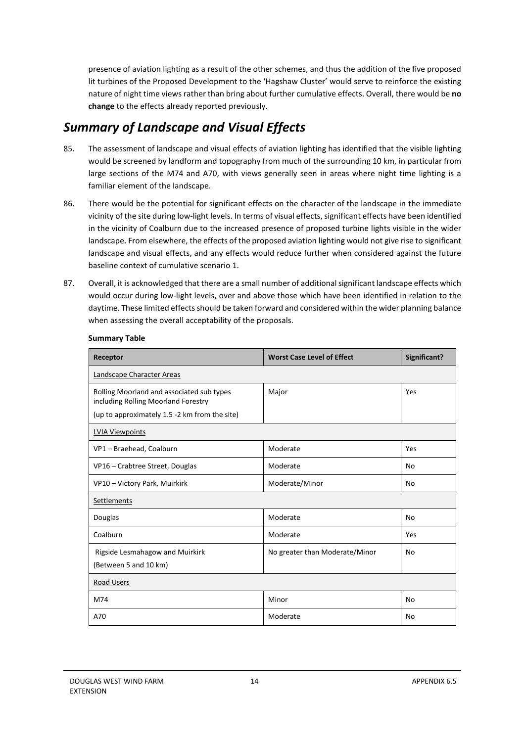presence of aviation lighting as a result of the other schemes, and thus the addition of the five proposed lit turbines of the Proposed Development to the 'Hagshaw Cluster' would serve to reinforce the existing nature of night time views rather than bring about further cumulative effects. Overall, there would be **no change** to the effects already reported previously.

## <span id="page-15-0"></span>*Summary of Landscape and Visual Effects*

- 85. The assessment of landscape and visual effects of aviation lighting has identified that the visible lighting would be screened by landform and topography from much of the surrounding 10 km, in particular from large sections of the M74 and A70, with views generally seen in areas where night time lighting is a familiar element of the landscape.
- 86. There would be the potential for significant effects on the character of the landscape in the immediate vicinity of the site during low-light levels. In terms of visual effects, significant effects have been identified in the vicinity of Coalburn due to the increased presence of proposed turbine lights visible in the wider landscape. From elsewhere, the effects of the proposed aviation lighting would not give rise to significant landscape and visual effects, and any effects would reduce further when considered against the future baseline context of cumulative scenario 1.
- 87. Overall, it is acknowledged that there are a small number of additional significant landscape effects which would occur during low-light levels, over and above those which have been identified in relation to the daytime. These limited effects should be taken forward and considered within the wider planning balance when assessing the overall acceptability of the proposals.

| Receptor                                                                                                                          | <b>Worst Case Level of Effect</b> | Significant?   |
|-----------------------------------------------------------------------------------------------------------------------------------|-----------------------------------|----------------|
| Landscape Character Areas                                                                                                         |                                   |                |
| Rolling Moorland and associated sub types<br>including Rolling Moorland Forestry<br>(up to approximately 1.5 -2 km from the site) | Major                             | Yes            |
| <b>LVIA Viewpoints</b>                                                                                                            |                                   |                |
| VP1 - Braehead, Coalburn                                                                                                          | Moderate                          | Yes            |
| VP16 – Crabtree Street, Douglas                                                                                                   | Moderate                          | N <sub>0</sub> |
| VP10 - Victory Park, Muirkirk                                                                                                     | Moderate/Minor                    | N <sub>0</sub> |
| <b>Settlements</b>                                                                                                                |                                   |                |
| Douglas                                                                                                                           | Moderate                          | N <sub>0</sub> |
| Coalburn                                                                                                                          | Moderate                          | Yes            |
| Rigside Lesmahagow and Muirkirk<br>(Between 5 and 10 km)                                                                          | No greater than Moderate/Minor    | No             |
| <b>Road Users</b>                                                                                                                 |                                   |                |
| M74                                                                                                                               | Minor                             | No             |
| A70                                                                                                                               | Moderate                          | No             |

#### **Summary Table**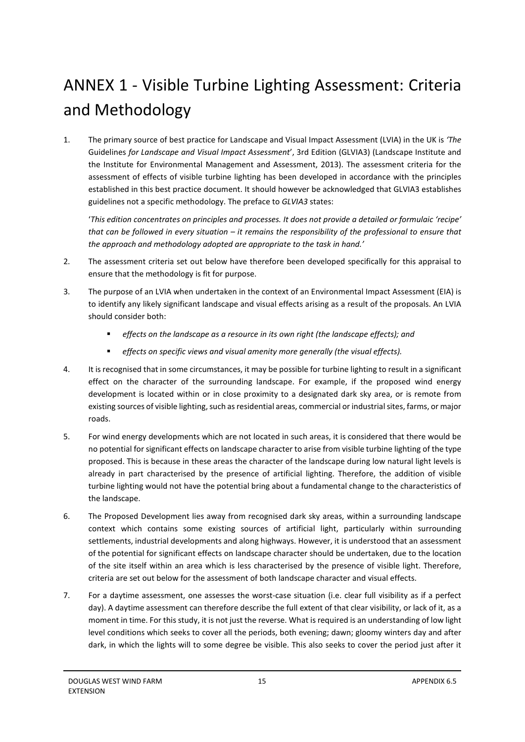# ANNEX 1 - Visible Turbine Lighting Assessment: Criteria and Methodology

1. The primary source of best practice for Landscape and Visual Impact Assessment (LVIA) in the UK is *'The*  Guidelines *for Landscape and Visual Impact Assessment*', 3rd Edition (GLVIA3) (Landscape Institute and the Institute for Environmental Management and Assessment, 2013). The assessment criteria for the assessment of effects of visible turbine lighting has been developed in accordance with the principles established in this best practice document. It should however be acknowledged that GLVIA3 establishes guidelines not a specific methodology. The preface to *GLVIA3* states:

'*This edition concentrates on principles and processes. It does not provide a detailed or formulaic 'recipe' that can be followed in every situation – it remains the responsibility of the professional to ensure that the approach and methodology adopted are appropriate to the task in hand.'* 

- 2. The assessment criteria set out below have therefore been developed specifically for this appraisal to ensure that the methodology is fit for purpose.
- 3. The purpose of an LVIA when undertaken in the context of an Environmental Impact Assessment (EIA) is to identify any likely significant landscape and visual effects arising as a result of the proposals. An LVIA should consider both:
	- *effects on the landscape as a resource in its own right (the landscape effects); and*
	- *effects on specific views and visual amenity more generally (the visual effects).*
- 4. It is recognised that in some circumstances, it may be possible for turbine lighting to result in a significant effect on the character of the surrounding landscape. For example, if the proposed wind energy development is located within or in close proximity to a designated dark sky area, or is remote from existing sources of visible lighting, such as residential areas, commercial or industrial sites, farms, or major roads.
- 5. For wind energy developments which are not located in such areas, it is considered that there would be no potential for significant effects on landscape character to arise from visible turbine lighting of the type proposed. This is because in these areas the character of the landscape during low natural light levels is already in part characterised by the presence of artificial lighting. Therefore, the addition of visible turbine lighting would not have the potential bring about a fundamental change to the characteristics of the landscape.
- 6. The Proposed Development lies away from recognised dark sky areas, within a surrounding landscape context which contains some existing sources of artificial light, particularly within surrounding settlements, industrial developments and along highways. However, it is understood that an assessment of the potential for significant effects on landscape character should be undertaken, due to the location of the site itself within an area which is less characterised by the presence of visible light. Therefore, criteria are set out below for the assessment of both landscape character and visual effects.
- 7. For a daytime assessment, one assesses the worst-case situation (i.e. clear full visibility as if a perfect day). A daytime assessment can therefore describe the full extent of that clear visibility, or lack of it, as a moment in time. For this study, it is not just the reverse. What is required is an understanding of low light level conditions which seeks to cover all the periods, both evening; dawn; gloomy winters day and after dark, in which the lights will to some degree be visible. This also seeks to cover the period just after it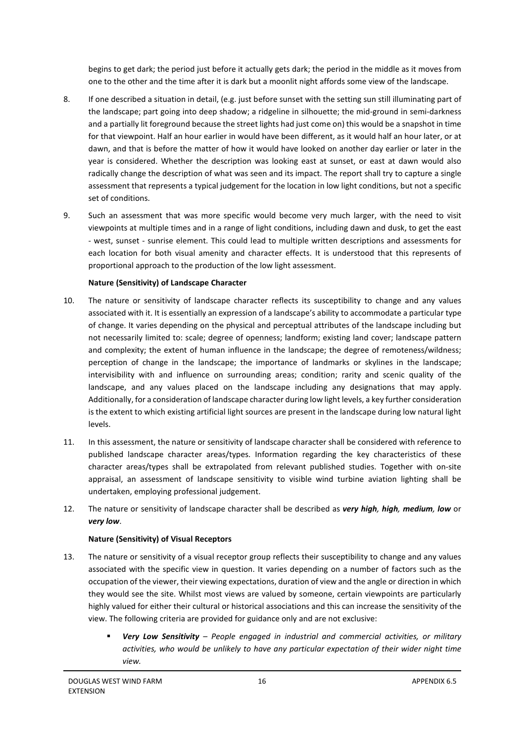begins to get dark; the period just before it actually gets dark; the period in the middle as it moves from one to the other and the time after it is dark but a moonlit night affords some view of the landscape.

- 8. If one described a situation in detail, (e.g. just before sunset with the setting sun still illuminating part of the landscape; part going into deep shadow; a ridgeline in silhouette; the mid-ground in semi-darkness and a partially lit foreground because the street lights had just come on) this would be a snapshot in time for that viewpoint. Half an hour earlier in would have been different, as it would half an hour later, or at dawn, and that is before the matter of how it would have looked on another day earlier or later in the year is considered. Whether the description was looking east at sunset, or east at dawn would also radically change the description of what was seen and its impact. The report shall try to capture a single assessment that represents a typical judgement for the location in low light conditions, but not a specific set of conditions.
- 9. Such an assessment that was more specific would become very much larger, with the need to visit viewpoints at multiple times and in a range of light conditions, including dawn and dusk, to get the east - west, sunset - sunrise element. This could lead to multiple written descriptions and assessments for each location for both visual amenity and character effects. It is understood that this represents of proportional approach to the production of the low light assessment.

#### **Nature (Sensitivity) of Landscape Character**

- 10. The nature or sensitivity of landscape character reflects its susceptibility to change and any values associated with it. It is essentially an expression of a landscape's ability to accommodate a particular type of change. It varies depending on the physical and perceptual attributes of the landscape including but not necessarily limited to: scale; degree of openness; landform; existing land cover; landscape pattern and complexity; the extent of human influence in the landscape; the degree of remoteness/wildness; perception of change in the landscape; the importance of landmarks or skylines in the landscape; intervisibility with and influence on surrounding areas; condition; rarity and scenic quality of the landscape, and any values placed on the landscape including any designations that may apply. Additionally, for a consideration of landscape character during low light levels, a key further consideration is the extent to which existing artificial light sources are present in the landscape during low natural light levels.
- 11. In this assessment, the nature or sensitivity of landscape character shall be considered with reference to published landscape character areas/types. Information regarding the key characteristics of these character areas/types shall be extrapolated from relevant published studies. Together with on-site appraisal, an assessment of landscape sensitivity to visible wind turbine aviation lighting shall be undertaken, employing professional judgement.
- 12. The nature or sensitivity of landscape character shall be described as *very high, high, medium, low* or *very low*.

#### **Nature (Sensitivity) of Visual Receptors**

- 13. The nature or sensitivity of a visual receptor group reflects their susceptibility to change and any values associated with the specific view in question. It varies depending on a number of factors such as the occupation of the viewer, their viewing expectations, duration of view and the angle or direction in which they would see the site. Whilst most views are valued by someone, certain viewpoints are particularly highly valued for either their cultural or historical associations and this can increase the sensitivity of the view. The following criteria are provided for guidance only and are not exclusive:
	- *Very Low Sensitivity – People engaged in industrial and commercial activities, or military activities, who would be unlikely to have any particular expectation of their wider night time view.*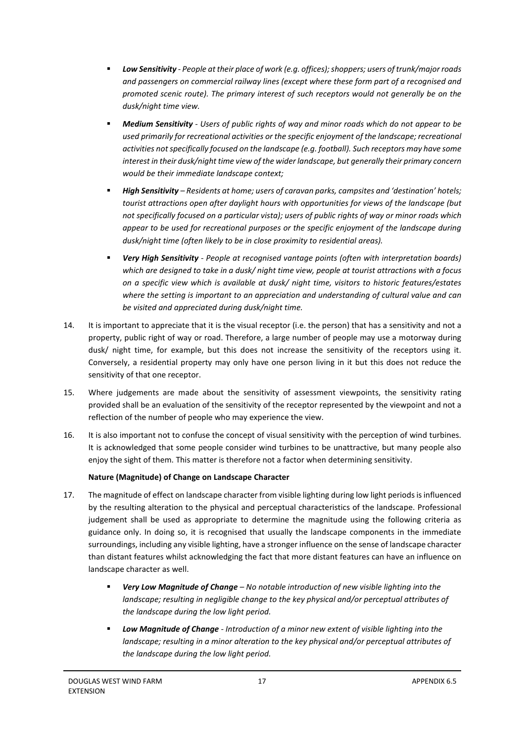- *Low Sensitivity - People at their place of work (e.g. offices); shoppers; users of trunk/major roads and passengers on commercial railway lines (except where these form part of a recognised and promoted scenic route). The primary interest of such receptors would not generally be on the dusk/night time view.*
- *Medium Sensitivity - Users of public rights of way and minor roads which do not appear to be used primarily for recreational activities or the specific enjoyment of the landscape; recreational activities not specifically focused on the landscape (e.g. football). Such receptors may have some interest in their dusk/night time view of the wider landscape, but generally their primary concern would be their immediate landscape context;*
- *High Sensitivity – Residents at home; users of caravan parks, campsites and 'destination' hotels; tourist attractions open after daylight hours with opportunities for views of the landscape (but not specifically focused on a particular vista); users of public rights of way or minor roads which appear to be used for recreational purposes or the specific enjoyment of the landscape during dusk/night time (often likely to be in close proximity to residential areas).*
- *Very High Sensitivity - People at recognised vantage points (often with interpretation boards) which are designed to take in a dusk/ night time view, people at tourist attractions with a focus on a specific view which is available at dusk/ night time, visitors to historic features/estates where the setting is important to an appreciation and understanding of cultural value and can be visited and appreciated during dusk/night time.*
- 14. It is important to appreciate that it is the visual receptor (i.e. the person) that has a sensitivity and not a property, public right of way or road. Therefore, a large number of people may use a motorway during dusk/ night time, for example, but this does not increase the sensitivity of the receptors using it. Conversely, a residential property may only have one person living in it but this does not reduce the sensitivity of that one receptor.
- 15. Where judgements are made about the sensitivity of assessment viewpoints, the sensitivity rating provided shall be an evaluation of the sensitivity of the receptor represented by the viewpoint and not a reflection of the number of people who may experience the view.
- 16. It is also important not to confuse the concept of visual sensitivity with the perception of wind turbines. It is acknowledged that some people consider wind turbines to be unattractive, but many people also enjoy the sight of them. This matter is therefore not a factor when determining sensitivity.

#### **Nature (Magnitude) of Change on Landscape Character**

- 17. The magnitude of effect on landscape character from visible lighting during low light periods is influenced by the resulting alteration to the physical and perceptual characteristics of the landscape. Professional judgement shall be used as appropriate to determine the magnitude using the following criteria as guidance only. In doing so, it is recognised that usually the landscape components in the immediate surroundings, including any visible lighting, have a stronger influence on the sense of landscape character than distant features whilst acknowledging the fact that more distant features can have an influence on landscape character as well.
	- *Very Low Magnitude of Change – No notable introduction of new visible lighting into the landscape; resulting in negligible change to the key physical and/or perceptual attributes of the landscape during the low light period.*
	- *Low Magnitude of Change - Introduction of a minor new extent of visible lighting into the landscape; resulting in a minor alteration to the key physical and/or perceptual attributes of the landscape during the low light period.*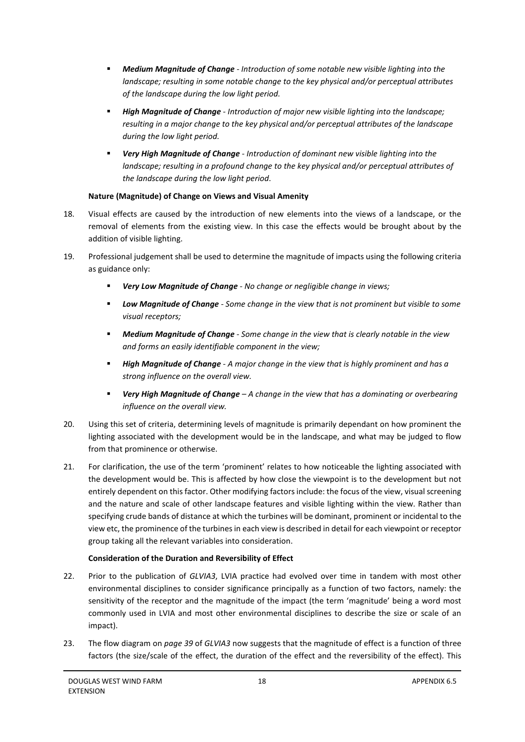- *Medium Magnitude of Change - Introduction of some notable new visible lighting into the landscape; resulting in some notable change to the key physical and/or perceptual attributes of the landscape during the low light period.*
- *High Magnitude of Change - Introduction of major new visible lighting into the landscape; resulting in a major change to the key physical and/or perceptual attributes of the landscape during the low light period.*
- *Very High Magnitude of Change - Introduction of dominant new visible lighting into the landscape; resulting in a profound change to the key physical and/or perceptual attributes of the landscape during the low light period*.

#### **Nature (Magnitude) of Change on Views and Visual Amenity**

- 18. Visual effects are caused by the introduction of new elements into the views of a landscape, or the removal of elements from the existing view. In this case the effects would be brought about by the addition of visible lighting.
- 19. Professional judgement shall be used to determine the magnitude of impacts using the following criteria as guidance only:
	- *Very Low Magnitude of Change - No change or negligible change in views;*
	- *Low Magnitude of Change - Some change in the view that is not prominent but visible to some visual receptors;*
	- *Medium Magnitude of Change - Some change in the view that is clearly notable in the view and forms an easily identifiable component in the view;*
	- *High Magnitude of Change - A major change in the view that is highly prominent and has a strong influence on the overall view.*
	- *Very High Magnitude of Change – A change in the view that has a dominating or overbearing influence on the overall view.*
- 20. Using this set of criteria, determining levels of magnitude is primarily dependant on how prominent the lighting associated with the development would be in the landscape, and what may be judged to flow from that prominence or otherwise.
- 21. For clarification, the use of the term 'prominent' relates to how noticeable the lighting associated with the development would be. This is affected by how close the viewpoint is to the development but not entirely dependent on this factor. Other modifying factors include: the focus of the view, visual screening and the nature and scale of other landscape features and visible lighting within the view. Rather than specifying crude bands of distance at which the turbines will be dominant, prominent or incidental to the view etc, the prominence of the turbines in each view is described in detail for each viewpoint or receptor group taking all the relevant variables into consideration.

#### **Consideration of the Duration and Reversibility of Effect**

- 22. Prior to the publication of *GLVIA3*, LVIA practice had evolved over time in tandem with most other environmental disciplines to consider significance principally as a function of two factors, namely: the sensitivity of the receptor and the magnitude of the impact (the term 'magnitude' being a word most commonly used in LVIA and most other environmental disciplines to describe the size or scale of an impact).
- 23. The flow diagram on *page 39* of *GLVIA3* now suggests that the magnitude of effect is a function of three factors (the size/scale of the effect, the duration of the effect and the reversibility of the effect). This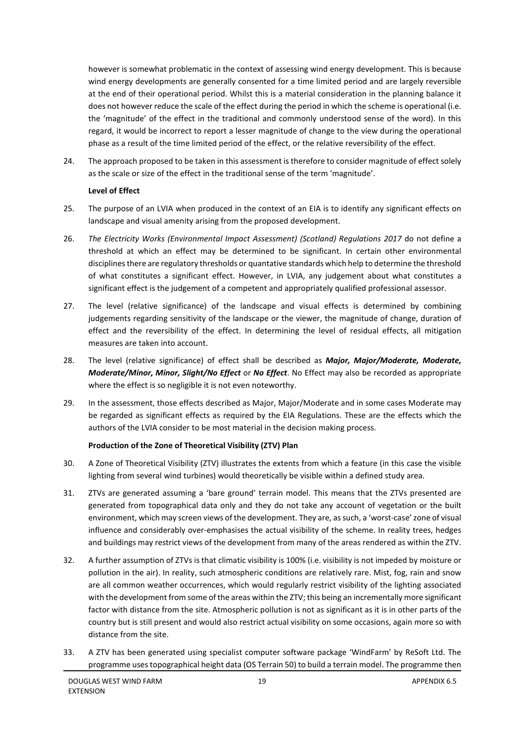however is somewhat problematic in the context of assessing wind energy development. This is because wind energy developments are generally consented for a time limited period and are largely reversible at the end of their operational period. Whilst this is a material consideration in the planning balance it does not however reduce the scale of the effect during the period in which the scheme is operational (i.e. the 'magnitude' of the effect in the traditional and commonly understood sense of the word). In this regard, it would be incorrect to report a lesser magnitude of change to the view during the operational phase as a result of the time limited period of the effect, or the relative reversibility of the effect.

24. The approach proposed to be taken in this assessment is therefore to consider magnitude of effect solely as the scale or size of the effect in the traditional sense of the term 'magnitude'.

#### **Level of Effect**

- 25. The purpose of an LVIA when produced in the context of an EIA is to identify any significant effects on landscape and visual amenity arising from the proposed development.
- 26. *The Electricity Works (Environmental Impact Assessment) (Scotland) Regulations 2017* do not define a threshold at which an effect may be determined to be significant. In certain other environmental disciplines there are regulatory thresholds or quantative standards which help to determine the threshold of what constitutes a significant effect. However, in LVIA, any judgement about what constitutes a significant effect is the judgement of a competent and appropriately qualified professional assessor.
- 27. The level (relative significance) of the landscape and visual effects is determined by combining judgements regarding sensitivity of the landscape or the viewer, the magnitude of change, duration of effect and the reversibility of the effect. In determining the level of residual effects, all mitigation measures are taken into account.
- 28. The level (relative significance) of effect shall be described as *Major, Major/Moderate, Moderate, Moderate/Minor, Minor, Slight/No Effect* or *No Effect*. No Effect may also be recorded as appropriate where the effect is so negligible it is not even noteworthy.
- 29. In the assessment, those effects described as Major, Major/Moderate and in some cases Moderate may be regarded as significant effects as required by the EIA Regulations. These are the effects which the authors of the LVIA consider to be most material in the decision making process.

#### **Production of the Zone of Theoretical Visibility (ZTV) Plan**

- 30. A Zone of Theoretical Visibility (ZTV) illustrates the extents from which a feature (in this case the visible lighting from several wind turbines) would theoretically be visible within a defined study area.
- 31. ZTVs are generated assuming a 'bare ground' terrain model. This means that the ZTVs presented are generated from topographical data only and they do not take any account of vegetation or the built environment, which may screen views of the development. They are, as such, a 'worst-case' zone of visual influence and considerably over-emphasises the actual visibility of the scheme. In reality trees, hedges and buildings may restrict views of the development from many of the areas rendered as within the ZTV.
- 32. A further assumption of ZTVs is that climatic visibility is 100% (i.e. visibility is not impeded by moisture or pollution in the air). In reality, such atmospheric conditions are relatively rare. Mist, fog, rain and snow are all common weather occurrences, which would regularly restrict visibility of the lighting associated with the development from some of the areas within the ZTV; this being an incrementally more significant factor with distance from the site. Atmospheric pollution is not as significant as it is in other parts of the country but is still present and would also restrict actual visibility on some occasions, again more so with distance from the site.
- 33. A ZTV has been generated using specialist computer software package 'WindFarm' by ReSoft Ltd. The programme uses topographical height data (OS Terrain 50) to build a terrain model. The programme then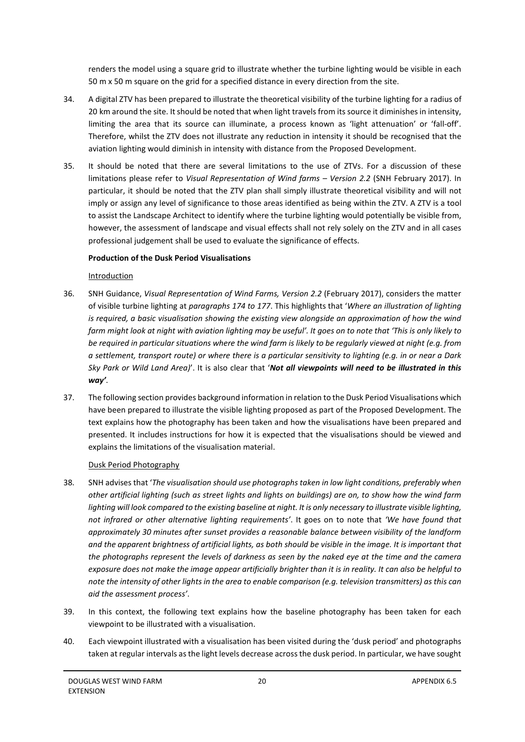renders the model using a square grid to illustrate whether the turbine lighting would be visible in each 50 m x 50 m square on the grid for a specified distance in every direction from the site.

- 34. A digital ZTV has been prepared to illustrate the theoretical visibility of the turbine lighting for a radius of 20 km around the site. It should be noted that when light travels from its source it diminishes in intensity, limiting the area that its source can illuminate, a process known as 'light attenuation' or 'fall-off'. Therefore, whilst the ZTV does not illustrate any reduction in intensity it should be recognised that the aviation lighting would diminish in intensity with distance from the Proposed Development.
- 35. It should be noted that there are several limitations to the use of ZTVs. For a discussion of these limitations please refer to *Visual Representation of Wind farms – Version 2.2* (SNH February 2017). In particular, it should be noted that the ZTV plan shall simply illustrate theoretical visibility and will not imply or assign any level of significance to those areas identified as being within the ZTV. A ZTV is a tool to assist the Landscape Architect to identify where the turbine lighting would potentially be visible from, however, the assessment of landscape and visual effects shall not rely solely on the ZTV and in all cases professional judgement shall be used to evaluate the significance of effects.

#### **Production of the Dusk Period Visualisations**

#### Introduction

- 36. SNH Guidance, *Visual Representation of Wind Farms, Version 2.2* (February 2017), considers the matter of visible turbine lighting at *paragraphs 174 to 177*. This highlights that '*Where an illustration of lighting is required, a basic visualisation showing the existing view alongside an approximation of how the wind farm might look at night with aviation lighting may be useful'. It goes on to note that 'This is only likely to be required in particular situations where the wind farm is likely to be regularly viewed at night (e.g. from a settlement, transport route) or where there is a particular sensitivity to lighting (e.g. in or near a Dark Sky Park or Wild Land Area)*'. It is also clear that '*Not all viewpoints will need to be illustrated in this way'*.
- 37. The following section provides background information in relation to the Dusk Period Visualisations which have been prepared to illustrate the visible lighting proposed as part of the Proposed Development. The text explains how the photography has been taken and how the visualisations have been prepared and presented. It includes instructions for how it is expected that the visualisations should be viewed and explains the limitations of the visualisation material.

#### Dusk Period Photography

- 38. SNH advises that '*The visualisation should use photographs taken in low light conditions, preferably when other artificial lighting (such as street lights and lights on buildings) are on, to show how the wind farm lighting will look compared to the existing baseline at night. It is only necessary to illustrate visible lighting, not infrared or other alternative lighting requirements'*. It goes on to note that *'We have found that approximately 30 minutes after sunset provides a reasonable balance between visibility of the landform and the apparent brightness of artificial lights, as both should be visible in the image. It is important that the photographs represent the levels of darkness as seen by the naked eye at the time and the camera exposure does not make the image appear artificially brighter than it is in reality. It can also be helpful to note the intensity of other lights in the area to enable comparison (e.g. television transmitters) as this can aid the assessment process'*.
- 39. In this context, the following text explains how the baseline photography has been taken for each viewpoint to be illustrated with a visualisation.
- 40. Each viewpoint illustrated with a visualisation has been visited during the 'dusk period' and photographs taken at regular intervals as the light levels decrease across the dusk period. In particular, we have sought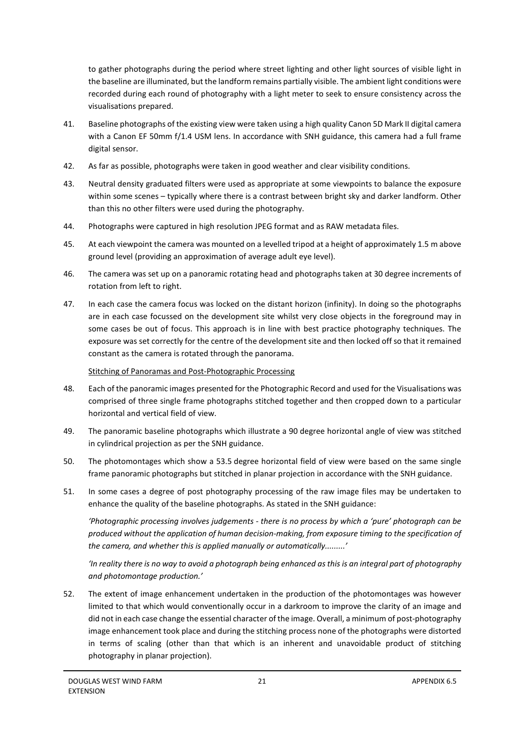to gather photographs during the period where street lighting and other light sources of visible light in the baseline are illuminated, but the landform remains partially visible. The ambient light conditions were recorded during each round of photography with a light meter to seek to ensure consistency across the visualisations prepared.

- 41. Baseline photographs of the existing view were taken using a high quality Canon 5D Mark II digital camera with a Canon EF 50mm f/1.4 USM lens. In accordance with SNH guidance, this camera had a full frame digital sensor.
- 42. As far as possible, photographs were taken in good weather and clear visibility conditions.
- 43. Neutral density graduated filters were used as appropriate at some viewpoints to balance the exposure within some scenes – typically where there is a contrast between bright sky and darker landform. Other than this no other filters were used during the photography.
- 44. Photographs were captured in high resolution JPEG format and as RAW metadata files.
- 45. At each viewpoint the camera was mounted on a levelled tripod at a height of approximately 1.5 m above ground level (providing an approximation of average adult eye level).
- 46. The camera was set up on a panoramic rotating head and photographs taken at 30 degree increments of rotation from left to right.
- 47. In each case the camera focus was locked on the distant horizon (infinity). In doing so the photographs are in each case focussed on the development site whilst very close objects in the foreground may in some cases be out of focus. This approach is in line with best practice photography techniques. The exposure was set correctly for the centre of the development site and then locked off so that it remained constant as the camera is rotated through the panorama.

#### Stitching of Panoramas and Post-Photographic Processing

- 48. Each of the panoramic images presented for the Photographic Record and used for the Visualisations was comprised of three single frame photographs stitched together and then cropped down to a particular horizontal and vertical field of view.
- 49. The panoramic baseline photographs which illustrate a 90 degree horizontal angle of view was stitched in cylindrical projection as per the SNH guidance.
- 50. The photomontages which show a 53.5 degree horizontal field of view were based on the same single frame panoramic photographs but stitched in planar projection in accordance with the SNH guidance.
- 51. In some cases a degree of post photography processing of the raw image files may be undertaken to enhance the quality of the baseline photographs. As stated in the SNH guidance:

*'Photographic processing involves judgements - there is no process by which a 'pure' photograph can be produced without the application of human decision-making, from exposure timing to the specification of the camera, and whether this is applied manually or automatically.........'*

*'In reality there is no way to avoid a photograph being enhanced as this is an integral part of photography and photomontage production.'* 

52. The extent of image enhancement undertaken in the production of the photomontages was however limited to that which would conventionally occur in a darkroom to improve the clarity of an image and did not in each case change the essential character of the image. Overall, a minimum of post-photography image enhancement took place and during the stitching process none of the photographs were distorted in terms of scaling (other than that which is an inherent and unavoidable product of stitching photography in planar projection).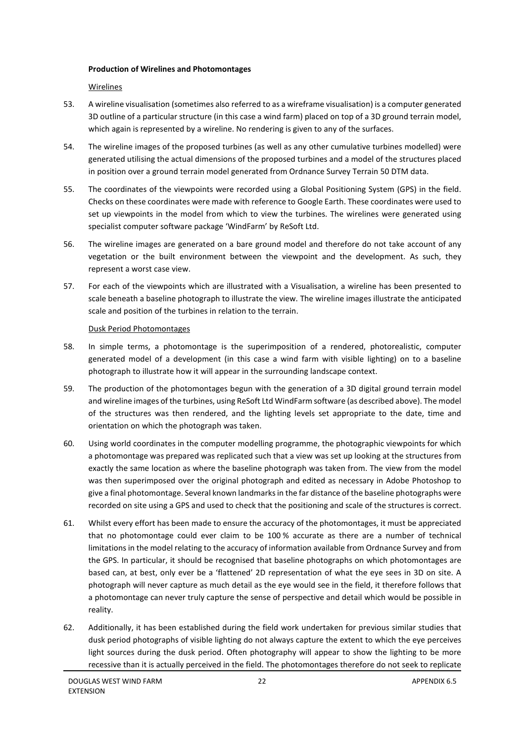#### **Production of Wirelines and Photomontages**

Wirelines

- 53. A wireline visualisation (sometimes also referred to as a wireframe visualisation) is a computer generated 3D outline of a particular structure (in this case a wind farm) placed on top of a 3D ground terrain model, which again is represented by a wireline. No rendering is given to any of the surfaces.
- 54. The wireline images of the proposed turbines (as well as any other cumulative turbines modelled) were generated utilising the actual dimensions of the proposed turbines and a model of the structures placed in position over a ground terrain model generated from Ordnance Survey Terrain 50 DTM data.
- 55. The coordinates of the viewpoints were recorded using a Global Positioning System (GPS) in the field. Checks on these coordinates were made with reference to Google Earth. These coordinates were used to set up viewpoints in the model from which to view the turbines. The wirelines were generated using specialist computer software package 'WindFarm' by ReSoft Ltd.
- 56. The wireline images are generated on a bare ground model and therefore do not take account of any vegetation or the built environment between the viewpoint and the development. As such, they represent a worst case view.
- 57. For each of the viewpoints which are illustrated with a Visualisation, a wireline has been presented to scale beneath a baseline photograph to illustrate the view. The wireline images illustrate the anticipated scale and position of the turbines in relation to the terrain.

#### Dusk Period Photomontages

- 58. In simple terms, a photomontage is the superimposition of a rendered, photorealistic, computer generated model of a development (in this case a wind farm with visible lighting) on to a baseline photograph to illustrate how it will appear in the surrounding landscape context.
- 59. The production of the photomontages begun with the generation of a 3D digital ground terrain model and wireline images of the turbines, using ReSoft Ltd WindFarm software (as described above). The model of the structures was then rendered, and the lighting levels set appropriate to the date, time and orientation on which the photograph was taken.
- 60. Using world coordinates in the computer modelling programme, the photographic viewpoints for which a photomontage was prepared was replicated such that a view was set up looking at the structures from exactly the same location as where the baseline photograph was taken from. The view from the model was then superimposed over the original photograph and edited as necessary in Adobe Photoshop to give a final photomontage. Several known landmarks in the far distance of the baseline photographs were recorded on site using a GPS and used to check that the positioning and scale of the structures is correct.
- 61. Whilst every effort has been made to ensure the accuracy of the photomontages, it must be appreciated that no photomontage could ever claim to be 100 % accurate as there are a number of technical limitations in the model relating to the accuracy of information available from Ordnance Survey and from the GPS. In particular, it should be recognised that baseline photographs on which photomontages are based can, at best, only ever be a 'flattened' 2D representation of what the eye sees in 3D on site. A photograph will never capture as much detail as the eye would see in the field, it therefore follows that a photomontage can never truly capture the sense of perspective and detail which would be possible in reality.
- 62. Additionally, it has been established during the field work undertaken for previous similar studies that dusk period photographs of visible lighting do not always capture the extent to which the eye perceives light sources during the dusk period. Often photography will appear to show the lighting to be more recessive than it is actually perceived in the field. The photomontages therefore do not seek to replicate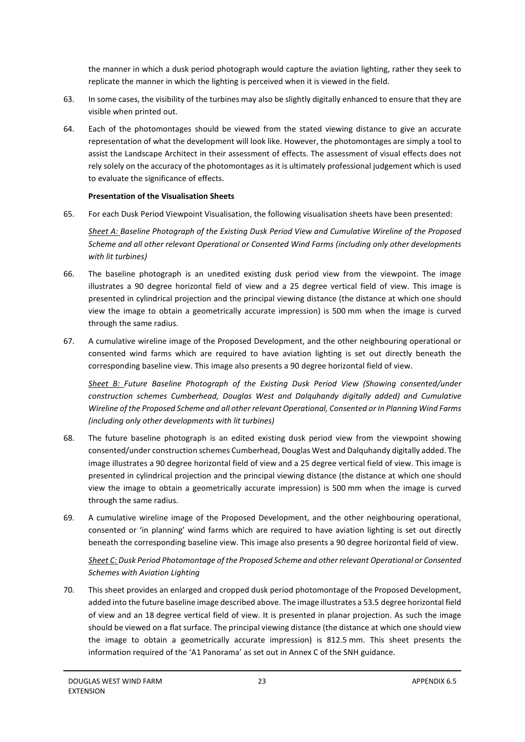the manner in which a dusk period photograph would capture the aviation lighting, rather they seek to replicate the manner in which the lighting is perceived when it is viewed in the field.

- 63. In some cases, the visibility of the turbines may also be slightly digitally enhanced to ensure that they are visible when printed out.
- 64. Each of the photomontages should be viewed from the stated viewing distance to give an accurate representation of what the development will look like. However, the photomontages are simply a tool to assist the Landscape Architect in their assessment of effects. The assessment of visual effects does not rely solely on the accuracy of the photomontages as it is ultimately professional judgement which is used to evaluate the significance of effects.

#### **Presentation of the Visualisation Sheets**

65. For each Dusk Period Viewpoint Visualisation, the following visualisation sheets have been presented:

*Sheet A: Baseline Photograph of the Existing Dusk Period View and Cumulative Wireline of the Proposed Scheme and all other relevant Operational or Consented Wind Farms (including only other developments with lit turbines)*

- 66. The baseline photograph is an unedited existing dusk period view from the viewpoint. The image illustrates a 90 degree horizontal field of view and a 25 degree vertical field of view. This image is presented in cylindrical projection and the principal viewing distance (the distance at which one should view the image to obtain a geometrically accurate impression) is 500 mm when the image is curved through the same radius.
- 67. A cumulative wireline image of the Proposed Development, and the other neighbouring operational or consented wind farms which are required to have aviation lighting is set out directly beneath the corresponding baseline view. This image also presents a 90 degree horizontal field of view.

*Sheet B: Future Baseline Photograph of the Existing Dusk Period View (Showing consented/under construction schemes Cumberhead, Douglas West and Dalquhandy digitally added) and Cumulative Wireline of the Proposed Scheme and all other relevant Operational, Consented or In Planning Wind Farms (including only other developments with lit turbines)*

- 68. The future baseline photograph is an edited existing dusk period view from the viewpoint showing consented/under construction schemes Cumberhead, Douglas West and Dalquhandy digitally added. The image illustrates a 90 degree horizontal field of view and a 25 degree vertical field of view. This image is presented in cylindrical projection and the principal viewing distance (the distance at which one should view the image to obtain a geometrically accurate impression) is 500 mm when the image is curved through the same radius.
- 69. A cumulative wireline image of the Proposed Development, and the other neighbouring operational, consented or 'in planning' wind farms which are required to have aviation lighting is set out directly beneath the corresponding baseline view. This image also presents a 90 degree horizontal field of view.

*Sheet C: Dusk Period Photomontage of the Proposed Scheme and other relevant Operational or Consented Schemes with Aviation Lighting*

70. This sheet provides an enlarged and cropped dusk period photomontage of the Proposed Development, added into the future baseline image described above. The image illustrates a 53.5 degree horizontal field of view and an 18 degree vertical field of view. It is presented in planar projection. As such the image should be viewed on a flat surface. The principal viewing distance (the distance at which one should view the image to obtain a geometrically accurate impression) is 812.5 mm. This sheet presents the information required of the 'A1 Panorama' as set out in Annex C of the SNH guidance.